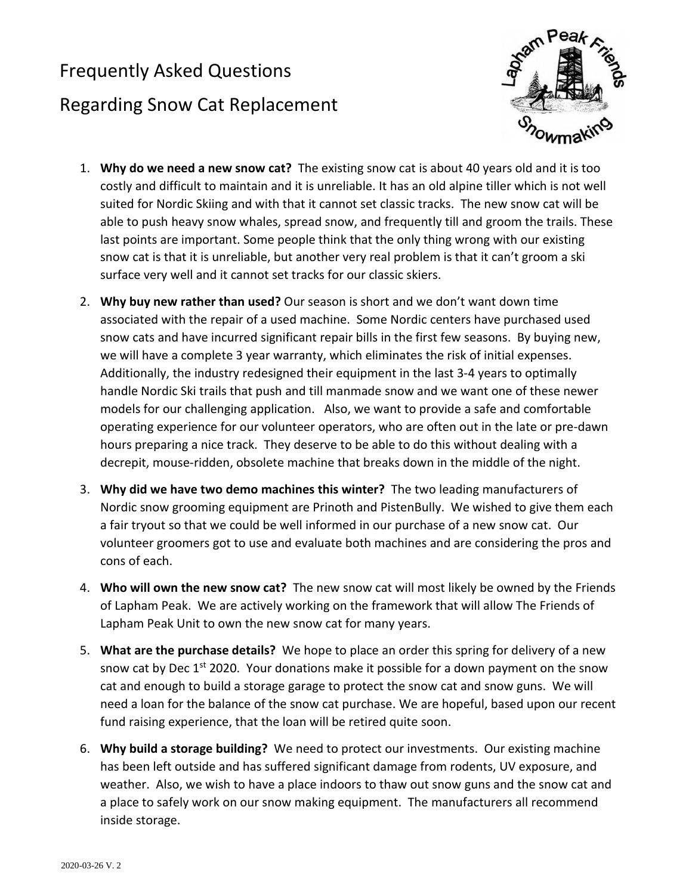## Frequently Asked Questions Regarding Snow Cat Replacement



- 1. **Why do we need a new snow cat?** The existing snow cat is about 40 years old and it is too costly and difficult to maintain and it is unreliable. It has an old alpine tiller which is not well suited for Nordic Skiing and with that it cannot set classic tracks. The new snow cat will be able to push heavy snow whales, spread snow, and frequently till and groom the trails. These last points are important. Some people think that the only thing wrong with our existing snow cat is that it is unreliable, but another very real problem is that it can't groom a ski surface very well and it cannot set tracks for our classic skiers.
- 2. **Why buy new rather than used?** Our season is short and we don't want down time associated with the repair of a used machine. Some Nordic centers have purchased used snow cats and have incurred significant repair bills in the first few seasons. By buying new, we will have a complete 3 year warranty, which eliminates the risk of initial expenses. Additionally, the industry redesigned their equipment in the last 3-4 years to optimally handle Nordic Ski trails that push and till manmade snow and we want one of these newer models for our challenging application. Also, we want to provide a safe and comfortable operating experience for our volunteer operators, who are often out in the late or pre-dawn hours preparing a nice track. They deserve to be able to do this without dealing with a decrepit, mouse-ridden, obsolete machine that breaks down in the middle of the night.
- 3. **Why did we have two demo machines this winter?** The two leading manufacturers of Nordic snow grooming equipment are Prinoth and PistenBully. We wished to give them each a fair tryout so that we could be well informed in our purchase of a new snow cat. Our volunteer groomers got to use and evaluate both machines and are considering the pros and cons of each.
- 4. **Who will own the new snow cat?** The new snow cat will most likely be owned by the Friends of Lapham Peak. We are actively working on the framework that will allow The Friends of Lapham Peak Unit to own the new snow cat for many years.
- 5. **What are the purchase details?** We hope to place an order this spring for delivery of a new snow cat by Dec 1<sup>st</sup> 2020. Your donations make it possible for a down payment on the snow cat and enough to build a storage garage to protect the snow cat and snow guns. We will need a loan for the balance of the snow cat purchase. We are hopeful, based upon our recent fund raising experience, that the loan will be retired quite soon.
- 6. **Why build a storage building?** We need to protect our investments. Our existing machine has been left outside and has suffered significant damage from rodents, UV exposure, and weather. Also, we wish to have a place indoors to thaw out snow guns and the snow cat and a place to safely work on our snow making equipment. The manufacturers all recommend inside storage.